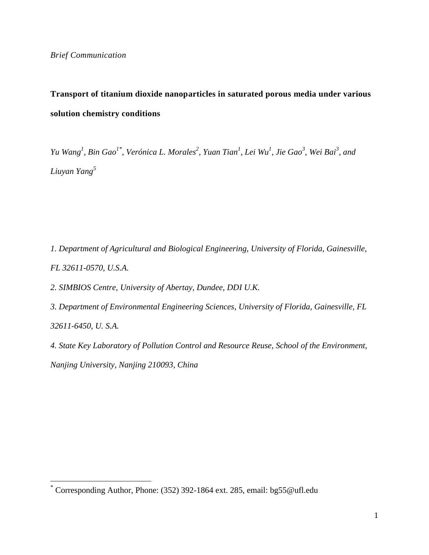$\overline{a}$ 

# **Transport of titanium dioxide nanoparticles in saturated porous media under various solution chemistry conditions**

*Yu Wang<sup>1</sup> , Bin Gao1\** , *Verónica L. Morales<sup>2</sup>* , *Yuan Tian<sup>1</sup> , Lei Wu<sup>1</sup> , Jie Gao<sup>3</sup> , Wei Bai<sup>3</sup> , and Liuyan Yang<sup>5</sup>*

*1. Department of Agricultural and Biological Engineering, University of Florida, Gainesville, FL 32611-0570, U.S.A.*

*2. SIMBIOS Centre, University of Abertay, Dundee, DDI U.K.*

*3. Department of Environmental Engineering Sciences, University of Florida, Gainesville, FL 32611-6450, U. S.A.*

*4. State Key Laboratory of Pollution Control and Resource Reuse, School of the Environment, Nanjing University, Nanjing 210093, China*

<sup>\*</sup> Corresponding Author, Phone: (352) 392-1864 ext. 285, email: bg55@ufl.edu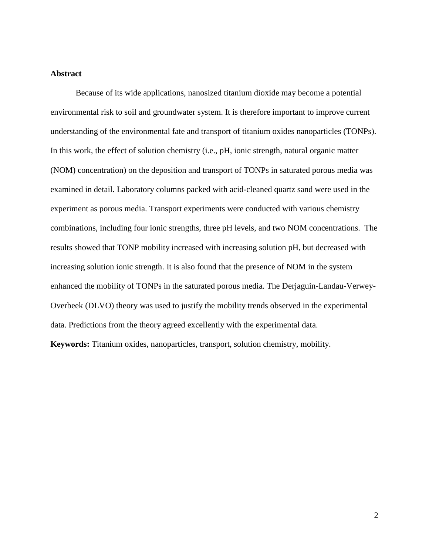# **Abstract**

Because of its wide applications, nanosized titanium dioxide may become a potential environmental risk to soil and groundwater system. It is therefore important to improve current understanding of the environmental fate and transport of titanium oxides nanoparticles (TONPs). In this work, the effect of solution chemistry (i.e., pH, ionic strength, natural organic matter (NOM) concentration) on the deposition and transport of TONPs in saturated porous media was examined in detail. Laboratory columns packed with acid-cleaned quartz sand were used in the experiment as porous media. Transport experiments were conducted with various chemistry combinations, including four ionic strengths, three pH levels, and two NOM concentrations. The results showed that TONP mobility increased with increasing solution pH, but decreased with increasing solution ionic strength. It is also found that the presence of NOM in the system enhanced the mobility of TONPs in the saturated porous media. The Derjaguin-Landau-Verwey-Overbeek (DLVO) theory was used to justify the mobility trends observed in the experimental data. Predictions from the theory agreed excellently with the experimental data.

**Keywords:** Titanium oxides, nanoparticles, transport, solution chemistry, mobility.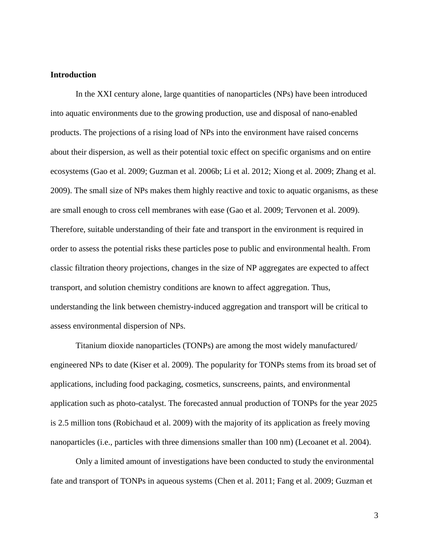## **Introduction**

In the XXI century alone, large quantities of nanoparticles (NPs) have been introduced into aquatic environments due to the growing production, use and disposal of nano-enabled products. The projections of a rising load of NPs into the environment have raised concerns about their dispersion, as well as their potential toxic effect on specific organisms and on entire ecosystems [\(Gao et al. 2009;](#page-15-0) [Guzman et al. 2006b;](#page-15-1) [Li et al. 2012;](#page-15-2) [Xiong et al. 2009;](#page-17-0) [Zhang et al.](#page-17-1)  [2009\)](#page-17-1). The small size of NPs makes them highly reactive and toxic to aquatic organisms, as these are small enough to cross cell membranes with ease [\(Gao et al. 2009;](#page-15-0) [Tervonen et al. 2009\)](#page-16-0). Therefore, suitable understanding of their fate and transport in the environment is required in order to assess the potential risks these particles pose to public and environmental health. From classic filtration theory projections, changes in the size of NP aggregates are expected to affect transport, and solution chemistry conditions are known to affect aggregation. Thus, understanding the link between chemistry-induced aggregation and transport will be critical to assess environmental dispersion of NPs.

Titanium dioxide nanoparticles (TONPs) are among the most widely manufactured/ engineered NPs to date [\(Kiser et al. 2009\)](#page-15-3). The popularity for TONPs stems from its broad set of applications, including food packaging, cosmetics, sunscreens, paints, and environmental application such as photo-catalyst. The forecasted annual production of TONPs for the year 2025 is 2.5 million tons [\(Robichaud et al. 2009\)](#page-16-1) with the majority of its application as freely moving nanoparticles (i.e., particles with three dimensions smaller than 100 nm) [\(Lecoanet et al. 2004\)](#page-15-4).

Only a limited amount of investigations have been conducted to study the environmental fate and transport of TONPs in aqueous systems [\(Chen et al. 2011;](#page-14-0) [Fang et al. 2009;](#page-14-1) [Guzman et](#page-15-5)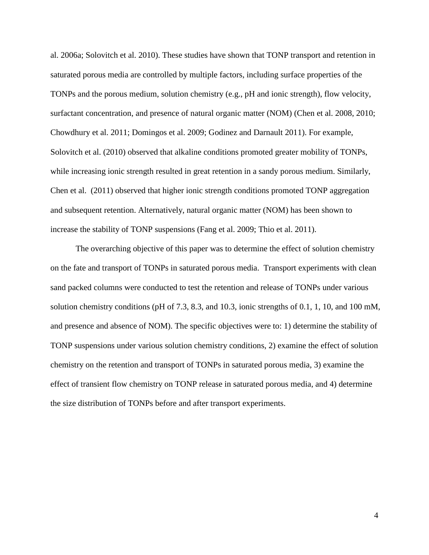[al. 2006a;](#page-15-5) [Solovitch et al. 2010\)](#page-16-2). These studies have shown that TONP transport and retention in saturated porous media are controlled by multiple factors, including surface properties of the TONPs and the porous medium, solution chemistry (e.g., pH and ionic strength), flow velocity, surfactant concentration, and presence of natural organic matter (NOM) [\(Chen et al. 2008,](#page-14-2) [2010;](#page-14-3) [Chowdhury et al. 2011;](#page-14-4) [Domingos et al. 2009;](#page-14-5) [Godinez and Darnault 2011\)](#page-15-6). For example, Solovitch et al. [\(2010\)](#page-16-2) observed that alkaline conditions promoted greater mobility of TONPs, while increasing ionic strength resulted in great retention in a sandy porous medium. Similarly, Chen et al. [\(2011\)](#page-14-0) observed that higher ionic strength conditions promoted TONP aggregation and subsequent retention. Alternatively, natural organic matter (NOM) has been shown to increase the stability of TONP suspensions [\(Fang et al. 2009;](#page-14-1) [Thio et al. 2011\)](#page-16-3).

The overarching objective of this paper was to determine the effect of solution chemistry on the fate and transport of TONPs in saturated porous media. Transport experiments with clean sand packed columns were conducted to test the retention and release of TONPs under various solution chemistry conditions (pH of 7.3, 8.3, and 10.3, ionic strengths of 0.1, 1, 10, and 100 mM, and presence and absence of NOM). The specific objectives were to: 1) determine the stability of TONP suspensions under various solution chemistry conditions, 2) examine the effect of solution chemistry on the retention and transport of TONPs in saturated porous media, 3) examine the effect of transient flow chemistry on TONP release in saturated porous media, and 4) determine the size distribution of TONPs before and after transport experiments.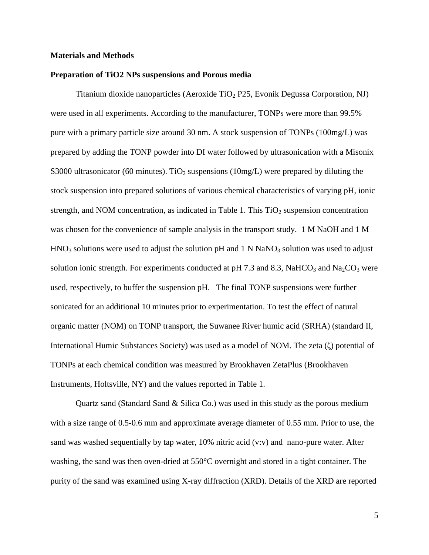#### **Materials and Methods**

#### **Preparation of TiO2 NPs suspensions and Porous media**

Titanium dioxide nanoparticles (Aeroxide TiO<sub>2</sub> P25, Evonik Degussa Corporation, NJ) were used in all experiments. According to the manufacturer, TONPs were more than 99.5% pure with a primary particle size around 30 nm. A stock suspension of TONPs (100mg/L) was prepared by adding the TONP powder into DI water followed by ultrasonication with a Misonix S3000 ultrasonicator (60 minutes). TiO<sub>2</sub> suspensions (10mg/L) were prepared by diluting the stock suspension into prepared solutions of various chemical characteristics of varying pH, ionic strength, and NOM concentration, as indicated in Table 1. This  $TiO<sub>2</sub>$  suspension concentration was chosen for the convenience of sample analysis in the transport study. 1 M NaOH and 1 M  $HNO<sub>3</sub>$  solutions were used to adjust the solution pH and 1 N NaNO<sub>3</sub> solution was used to adjust solution ionic strength. For experiments conducted at pH 7.3 and 8.3, NaHCO<sub>3</sub> and Na<sub>2</sub>CO<sub>3</sub> were used, respectively, to buffer the suspension pH. The final TONP suspensions were further sonicated for an additional 10 minutes prior to experimentation. To test the effect of natural organic matter (NOM) on TONP transport, the Suwanee River humic acid (SRHA) (standard II, International Humic Substances Society) was used as a model of NOM. The zeta (ζ) potential of TONPs at each chemical condition was measured by Brookhaven ZetaPlus (Brookhaven Instruments, Holtsville, NY) and the values reported in Table 1.

Quartz sand (Standard Sand & Silica Co.) was used in this study as the porous medium with a size range of 0.5-0.6 mm and approximate average diameter of 0.55 mm. Prior to use, the sand was washed sequentially by tap water, 10% nitric acid (v:v) and nano-pure water. After washing, the sand was then oven-dried at 550  $\mathbb C$  overnight and stored in a tight container. The purity of the sand was examined using X-ray diffraction (XRD). Details of the XRD are reported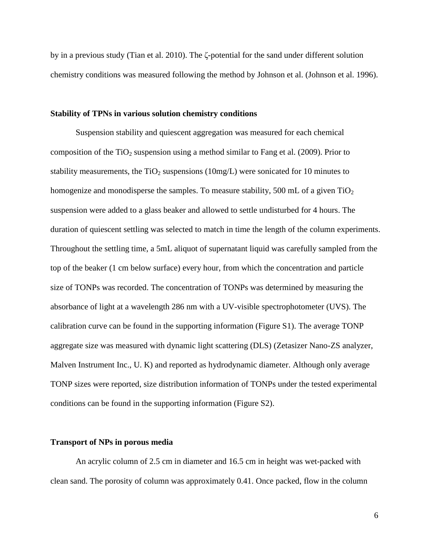by in a previous study [\(Tian et al. 2010\)](#page-16-4). The ζ-potential for the sand under different solution chemistry conditions was measured following the method by Johnson et al. [\(Johnson et al. 1996\)](#page-15-7).

## **Stability of TPNs in various solution chemistry conditions**

Suspension stability and quiescent aggregation was measured for each chemical composition of the  $TiO<sub>2</sub>$  suspension using a method similar to Fang et al. [\(2009\)](#page-14-1). Prior to stability measurements, the  $TiO<sub>2</sub>$  suspensions (10mg/L) were sonicated for 10 minutes to homogenize and monodisperse the samples. To measure stability, 500 mL of a given  $TiO<sub>2</sub>$ suspension were added to a glass beaker and allowed to settle undisturbed for 4 hours. The duration of quiescent settling was selected to match in time the length of the column experiments. Throughout the settling time, a 5mL aliquot of supernatant liquid was carefully sampled from the top of the beaker (1 cm below surface) every hour, from which the concentration and particle size of TONPs was recorded. The concentration of TONPs was determined by measuring the absorbance of light at a wavelength 286 nm with a UV-visible spectrophotometer (UVS). The calibration curve can be found in the supporting information (Figure S1). The average TONP aggregate size was measured with dynamic light scattering (DLS) (Zetasizer Nano-ZS analyzer, Malven Instrument Inc., U. K) and reported as hydrodynamic diameter. Although only average TONP sizes were reported, size distribution information of TONPs under the tested experimental conditions can be found in the supporting information (Figure S2).

#### **Transport of NPs in porous media**

An acrylic column of 2.5 cm in diameter and 16.5 cm in height was wet-packed with clean sand. The porosity of column was approximately 0.41. Once packed, flow in the column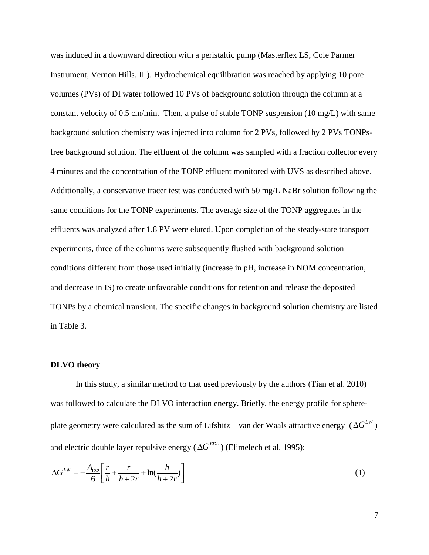was induced in a downward direction with a peristaltic pump (Masterflex LS, Cole Parmer Instrument, Vernon Hills, IL). Hydrochemical equilibration was reached by applying 10 pore volumes (PVs) of DI water followed 10 PVs of background solution through the column at a constant velocity of 0.5 cm/min. Then, a pulse of stable TONP suspension  $(10 \text{ mg/L})$  with same background solution chemistry was injected into column for 2 PVs, followed by 2 PVs TONPsfree background solution. The effluent of the column was sampled with a fraction collector every 4 minutes and the concentration of the TONP effluent monitored with UVS as described above. Additionally, a conservative tracer test was conducted with 50 mg/L NaBr solution following the same conditions for the TONP experiments. The average size of the TONP aggregates in the effluents was analyzed after 1.8 PV were eluted. Upon completion of the steady-state transport experiments, three of the columns were subsequently flushed with background solution conditions different from those used initially (increase in pH, increase in NOM concentration, and decrease in IS) to create unfavorable conditions for retention and release the deposited TONPs by a chemical transient. The specific changes in background solution chemistry are listed in Table 3.

#### **DLVO theory**

In this study, a similar method to that used previously by the authors [\(Tian et al. 2010\)](#page-16-4) was followed to calculate the DLVO interaction energy. Briefly, the energy profile for sphereplate geometry were calculated as the sum of Lifshitz – van der Waals attractive energy ( $\Delta G^{LW}$ ) and electric double layer repulsive energy ( $\Delta G^{EDL}$ ) [\(Elimelech et al. 1995\)](#page-14-6):

$$
\Delta G^{LW} = -\frac{A_{132}}{6} \left[ \frac{r}{h} + \frac{r}{h+2r} + \ln(\frac{h}{h+2r}) \right]
$$
 (1)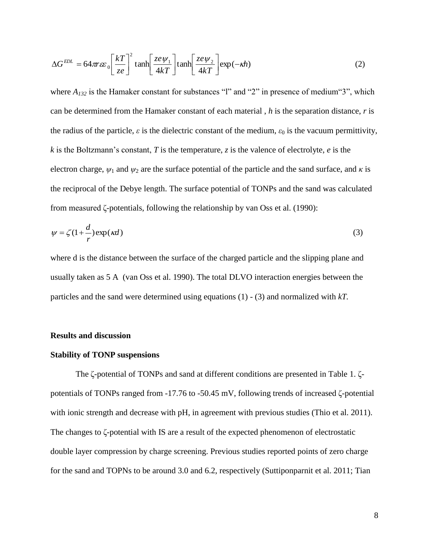$$
\Delta G^{EDL} = 64\pi r \mathcal{E}_0 \left[ \frac{kT}{ze} \right]^2 \tanh \left[ \frac{ze\psi_1}{4kT} \right] \tanh \left[ \frac{ze\psi_2}{4kT} \right] \exp(-\kappa h) \tag{2}
$$

where  $A_{132}$  is the Hamaker constant for substances "l" and "2" in presence of medium"3", which can be determined from the Hamaker constant of each material , *h* is the separation distance, *r* is the radius of the particle,  $\varepsilon$  is the dielectric constant of the medium,  $\varepsilon_0$  is the vacuum permittivity, *k* is the Boltzmann's constant, *T* is the temperature, *z* is the valence of electrolyte, *e* is the electron charge,  $\psi_1$  and  $\psi_2$  are the surface potential of the particle and the sand surface, and  $\kappa$  is the reciprocal of the Debye length. The surface potential of TONPs and the sand was calculated from measured ζ-potentials, following the relationship by van Oss et al. [\(1990\)](#page-17-2):

$$
\psi = \zeta \left(1 + \frac{d}{r}\right) \exp\left(\kappa d\right) \tag{3}
$$

where d is the distance between the surface of the charged particle and the slipping plane and usually taken as 5 A [\(van Oss et al. 1990\)](#page-17-2). The total DLVO interaction energies between the particles and the sand were determined using equations (1) - (3) and normalized with *kT.*

# **Results and discussion**

#### **Stability of TONP suspensions**

The ζ-potential of TONPs and sand at different conditions are presented in Table 1. ζpotentials of TONPs ranged from -17.76 to -50.45 mV, following trends of increased ζ-potential with ionic strength and decrease with pH, in agreement with previous studies [\(Thio et al. 2011\)](#page-16-3). The changes to ζ-potential with IS are a result of the expected phenomenon of electrostatic double layer compression by charge screening. Previous studies reported points of zero charge for the sand and TOPNs to be around 3.0 and 6.2, respectively [\(Suttiponparnit et al. 2011;](#page-16-5) [Tian](#page-16-6)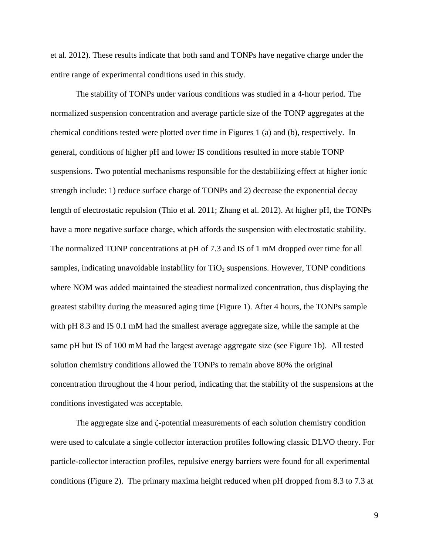[et al. 2012\)](#page-16-6). These results indicate that both sand and TONPs have negative charge under the entire range of experimental conditions used in this study.

The stability of TONPs under various conditions was studied in a 4-hour period. The normalized suspension concentration and average particle size of the TONP aggregates at the chemical conditions tested were plotted over time in Figures 1 (a) and (b), respectively. In general, conditions of higher pH and lower IS conditions resulted in more stable TONP suspensions. Two potential mechanisms responsible for the destabilizing effect at higher ionic strength include: 1) reduce surface charge of TONPs and 2) decrease the exponential decay length of electrostatic repulsion [\(Thio et al. 2011;](#page-16-3) [Zhang et al. 2012\)](#page-17-3). At higher pH, the TONPs have a more negative surface charge, which affords the suspension with electrostatic stability. The normalized TONP concentrations at pH of 7.3 and IS of 1 mM dropped over time for all samples, indicating unavoidable instability for  $TiO<sub>2</sub>$  suspensions. However, TONP conditions where NOM was added maintained the steadiest normalized concentration, thus displaying the greatest stability during the measured aging time (Figure 1). After 4 hours, the TONPs sample with pH 8.3 and IS 0.1 mM had the smallest average aggregate size, while the sample at the same pH but IS of 100 mM had the largest average aggregate size (see Figure 1b). All tested solution chemistry conditions allowed the TONPs to remain above 80% the original concentration throughout the 4 hour period, indicating that the stability of the suspensions at the conditions investigated was acceptable.

The aggregate size and ζ-potential measurements of each solution chemistry condition were used to calculate a single collector interaction profiles following classic DLVO theory. For particle-collector interaction profiles, repulsive energy barriers were found for all experimental conditions (Figure 2). The primary maxima height reduced when pH dropped from 8.3 to 7.3 at

9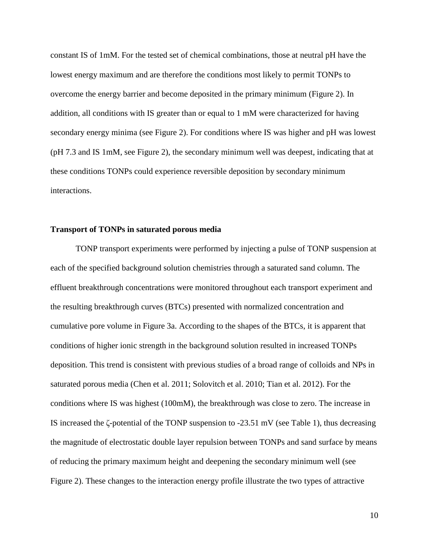constant IS of 1mM. For the tested set of chemical combinations, those at neutral pH have the lowest energy maximum and are therefore the conditions most likely to permit TONPs to overcome the energy barrier and become deposited in the primary minimum (Figure 2). In addition, all conditions with IS greater than or equal to 1 mM were characterized for having secondary energy minima (see Figure 2). For conditions where IS was higher and pH was lowest (pH 7.3 and IS 1mM, see Figure 2), the secondary minimum well was deepest, indicating that at these conditions TONPs could experience reversible deposition by secondary minimum interactions.

# **Transport of TONPs in saturated porous media**

TONP transport experiments were performed by injecting a pulse of TONP suspension at each of the specified background solution chemistries through a saturated sand column. The effluent breakthrough concentrations were monitored throughout each transport experiment and the resulting breakthrough curves (BTCs) presented with normalized concentration and cumulative pore volume in Figure 3a. According to the shapes of the BTCs, it is apparent that conditions of higher ionic strength in the background solution resulted in increased TONPs deposition. This trend is consistent with previous studies of a broad range of colloids and NPs in saturated porous media [\(Chen et al. 2011;](#page-14-0) [Solovitch et al. 2010;](#page-16-2) [Tian et al. 2012\)](#page-16-6). For the conditions where IS was highest (100mM), the breakthrough was close to zero. The increase in IS increased the ζ-potential of the TONP suspension to -23.51 mV (see Table 1), thus decreasing the magnitude of electrostatic double layer repulsion between TONPs and sand surface by means of reducing the primary maximum height and deepening the secondary minimum well (see Figure 2). These changes to the interaction energy profile illustrate the two types of attractive

10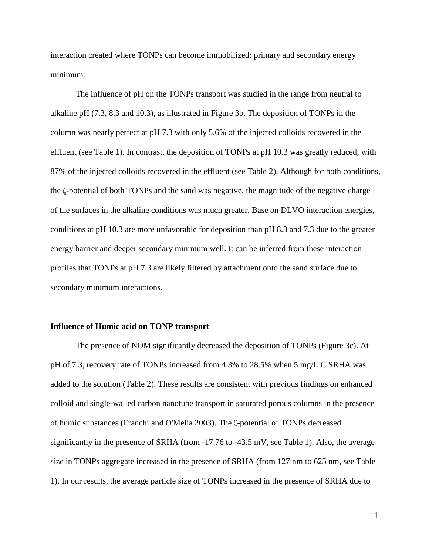interaction created where TONPs can become immobilized: primary and secondary energy minimum.

The influence of pH on the TONPs transport was studied in the range from neutral to alkaline pH (7.3, 8.3 and 10.3), as illustrated in Figure 3b. The deposition of TONPs in the column was nearly perfect at pH 7.3 with only 5.6% of the injected colloids recovered in the effluent (see Table 1). In contrast, the deposition of TONPs at pH 10.3 was greatly reduced, with 87% of the injected colloids recovered in the effluent (see Table 2). Although for both conditions, the ζ-potential of both TONPs and the sand was negative, the magnitude of the negative charge of the surfaces in the alkaline conditions was much greater. Base on DLVO interaction energies, conditions at pH 10.3 are more unfavorable for deposition than pH 8.3 and 7.3 due to the greater energy barrier and deeper secondary minimum well. It can be inferred from these interaction profiles that TONPs at pH 7.3 are likely filtered by attachment onto the sand surface due to secondary minimum interactions.

#### **Influence of Humic acid on TONP transport**

The presence of NOM significantly decreased the deposition of TONPs (Figure 3c). At pH of 7.3, recovery rate of TONPs increased from 4.3% to 28.5% when 5 mg/L C SRHA was added to the solution (Table 2). These results are consistent with previous findings on enhanced colloid and single-walled carbon nanotube transport in saturated porous columns in the presence of humic substances [\(Franchi and O'Melia 2003\)](#page-14-7). The ζ-potential of TONPs decreased significantly in the presence of SRHA (from -17.76 to -43.5 mV, see Table 1). Also, the average size in TONPs aggregate increased in the presence of SRHA (from 127 nm to 625 nm, see Table 1). In our results, the average particle size of TONPs increased in the presence of SRHA due to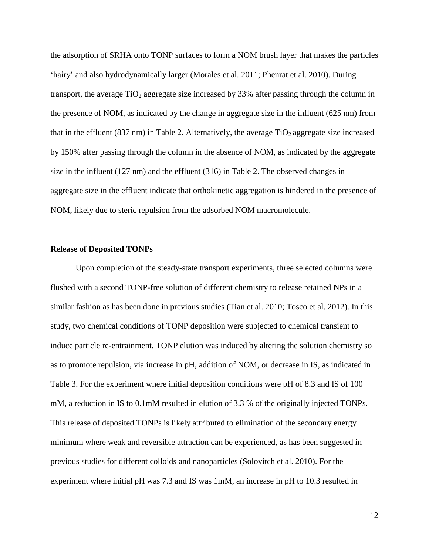the adsorption of SRHA onto TONP surfaces to form a NOM brush layer that makes the particles 'hairy' and also hydrodynamically larger [\(Morales et al. 2011;](#page-15-8) [Phenrat et al. 2010\)](#page-16-7). During transport, the average  $TiO<sub>2</sub>$  aggregate size increased by 33% after passing through the column in the presence of NOM, as indicated by the change in aggregate size in the influent (625 nm) from that in the effluent (837 nm) in Table 2. Alternatively, the average  $TiO<sub>2</sub>$  aggregate size increased by 150% after passing through the column in the absence of NOM, as indicated by the aggregate size in the influent (127 nm) and the effluent (316) in Table 2. The observed changes in aggregate size in the effluent indicate that orthokinetic aggregation is hindered in the presence of NOM, likely due to steric repulsion from the adsorbed NOM macromolecule.

#### **Release of Deposited TONPs**

Upon completion of the steady-state transport experiments, three selected columns were flushed with a second TONP-free solution of different chemistry to release retained NPs in a similar fashion as has been done in previous studies [\(Tian et al. 2010;](#page-16-4) [Tosco et al. 2012\)](#page-17-4). In this study, two chemical conditions of TONP deposition were subjected to chemical transient to induce particle re-entrainment. TONP elution was induced by altering the solution chemistry so as to promote repulsion, via increase in pH, addition of NOM, or decrease in IS, as indicated in Table 3. For the experiment where initial deposition conditions were pH of 8.3 and IS of 100 mM, a reduction in IS to 0.1mM resulted in elution of 3.3 % of the originally injected TONPs. This release of deposited TONPs is likely attributed to elimination of the secondary energy minimum where weak and reversible attraction can be experienced, as has been suggested in previous studies for different colloids and nanoparticles [\(Solovitch et al. 2010\)](#page-16-2). For the experiment where initial pH was 7.3 and IS was 1mM, an increase in pH to 10.3 resulted in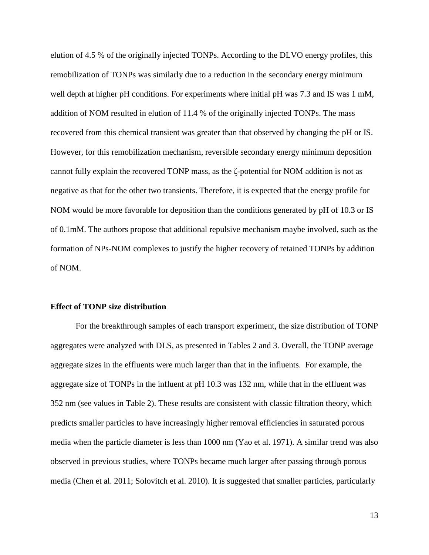elution of 4.5 % of the originally injected TONPs. According to the DLVO energy profiles, this remobilization of TONPs was similarly due to a reduction in the secondary energy minimum well depth at higher pH conditions. For experiments where initial pH was 7.3 and IS was 1 mM, addition of NOM resulted in elution of 11.4 % of the originally injected TONPs. The mass recovered from this chemical transient was greater than that observed by changing the pH or IS. However, for this remobilization mechanism, reversible secondary energy minimum deposition cannot fully explain the recovered TONP mass, as the ζ-potential for NOM addition is not as negative as that for the other two transients. Therefore, it is expected that the energy profile for NOM would be more favorable for deposition than the conditions generated by pH of 10.3 or IS of 0.1mM. The authors propose that additional repulsive mechanism maybe involved, such as the formation of NPs-NOM complexes to justify the higher recovery of retained TONPs by addition of NOM.

## **Effect of TONP size distribution**

For the breakthrough samples of each transport experiment, the size distribution of TONP aggregates were analyzed with DLS, as presented in Tables 2 and 3. Overall, the TONP average aggregate sizes in the effluents were much larger than that in the influents. For example, the aggregate size of TONPs in the influent at pH 10.3 was 132 nm, while that in the effluent was 352 nm (see values in Table 2). These results are consistent with classic filtration theory, which predicts smaller particles to have increasingly higher removal efficiencies in saturated porous media when the particle diameter is less than 1000 nm [\(Yao et al. 1971\)](#page-17-5). A similar trend was also observed in previous studies, where TONPs became much larger after passing through porous media [\(Chen et al. 2011;](#page-14-0) [Solovitch et al. 2010\)](#page-16-2). It is suggested that smaller particles, particularly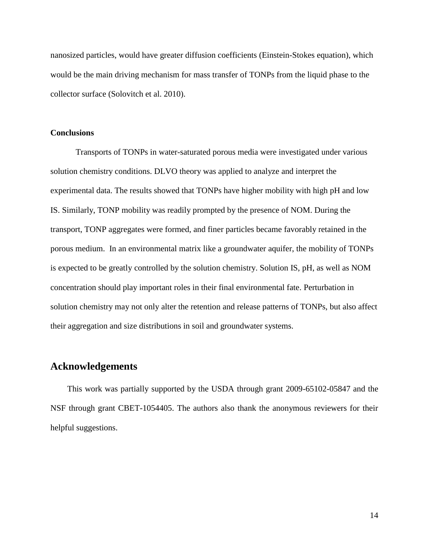nanosized particles, would have greater diffusion coefficients (Einstein-Stokes equation), which would be the main driving mechanism for mass transfer of TONPs from the liquid phase to the collector surface [\(Solovitch et al. 2010\)](#page-16-2).

## **Conclusions**

Transports of TONPs in water-saturated porous media were investigated under various solution chemistry conditions. DLVO theory was applied to analyze and interpret the experimental data. The results showed that TONPs have higher mobility with high pH and low IS. Similarly, TONP mobility was readily prompted by the presence of NOM. During the transport, TONP aggregates were formed, and finer particles became favorably retained in the porous medium. In an environmental matrix like a groundwater aquifer, the mobility of TONPs is expected to be greatly controlled by the solution chemistry. Solution IS, pH, as well as NOM concentration should play important roles in their final environmental fate. Perturbation in solution chemistry may not only alter the retention and release patterns of TONPs, but also affect their aggregation and size distributions in soil and groundwater systems.

# **Acknowledgements**

This work was partially supported by the USDA through grant 2009-65102-05847 and the NSF through grant CBET-1054405. The authors also thank the anonymous reviewers for their helpful suggestions.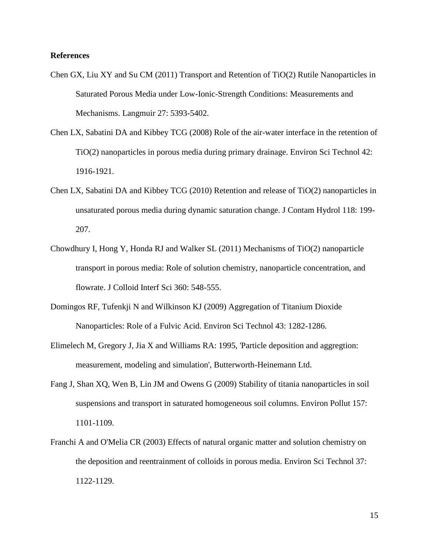# **References**

- <span id="page-14-0"></span>Chen GX, Liu XY and Su CM (2011) Transport and Retention of TiO(2) Rutile Nanoparticles in Saturated Porous Media under Low-Ionic-Strength Conditions: Measurements and Mechanisms. Langmuir 27: 5393-5402.
- <span id="page-14-2"></span>Chen LX, Sabatini DA and Kibbey TCG (2008) Role of the air-water interface in the retention of TiO(2) nanoparticles in porous media during primary drainage. Environ Sci Technol 42: 1916-1921.
- <span id="page-14-3"></span>Chen LX, Sabatini DA and Kibbey TCG (2010) Retention and release of TiO(2) nanoparticles in unsaturated porous media during dynamic saturation change. J Contam Hydrol 118: 199- 207.
- <span id="page-14-4"></span>Chowdhury I, Hong Y, Honda RJ and Walker SL (2011) Mechanisms of TiO(2) nanoparticle transport in porous media: Role of solution chemistry, nanoparticle concentration, and flowrate. J Colloid Interf Sci 360: 548-555.
- <span id="page-14-5"></span>Domingos RF, Tufenkji N and Wilkinson KJ (2009) Aggregation of Titanium Dioxide Nanoparticles: Role of a Fulvic Acid. Environ Sci Technol 43: 1282-1286.
- <span id="page-14-6"></span>Elimelech M, Gregory J, Jia X and Williams RA: 1995, 'Particle deposition and aggregtion: measurement, modeling and simulation', Butterworth-Heinemann Ltd.
- <span id="page-14-1"></span>Fang J, Shan XQ, Wen B, Lin JM and Owens G (2009) Stability of titania nanoparticles in soil suspensions and transport in saturated homogeneous soil columns. Environ Pollut 157: 1101-1109.
- <span id="page-14-7"></span>Franchi A and O'Melia CR (2003) Effects of natural organic matter and solution chemistry on the deposition and reentrainment of colloids in porous media. Environ Sci Technol 37: 1122-1129.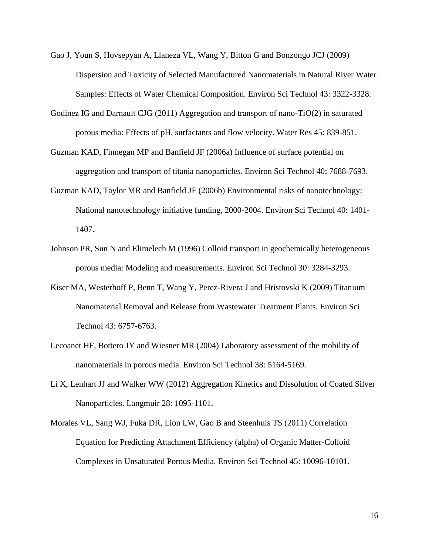- <span id="page-15-0"></span>Gao J, Youn S, Hovsepyan A, Llaneza VL, Wang Y, Bitton G and Bonzongo JCJ (2009) Dispersion and Toxicity of Selected Manufactured Nanomaterials in Natural River Water Samples: Effects of Water Chemical Composition. Environ Sci Technol 43: 3322-3328.
- <span id="page-15-6"></span>Godinez IG and Darnault CJG (2011) Aggregation and transport of nano-TiO(2) in saturated porous media: Effects of pH, surfactants and flow velocity. Water Res 45: 839-851.
- <span id="page-15-5"></span>Guzman KAD, Finnegan MP and Banfield JF (2006a) Influence of surface potential on aggregation and transport of titania nanoparticles. Environ Sci Technol 40: 7688-7693.
- <span id="page-15-1"></span>Guzman KAD, Taylor MR and Banfield JF (2006b) Environmental risks of nanotechnology: National nanotechnology initiative funding, 2000-2004. Environ Sci Technol 40: 1401- 1407.
- <span id="page-15-7"></span>Johnson PR, Sun N and Elimelech M (1996) Colloid transport in geochemically heterogeneous porous media: Modeling and measurements. Environ Sci Technol 30: 3284-3293.
- <span id="page-15-3"></span>Kiser MA, Westerhoff P, Benn T, Wang Y, Perez-Rivera J and Hristovski K (2009) Titanium Nanomaterial Removal and Release from Wastewater Treatment Plants. Environ Sci Technol 43: 6757-6763.
- <span id="page-15-4"></span>Lecoanet HF, Bottero JY and Wiesner MR (2004) Laboratory assessment of the mobility of nanomaterials in porous media. Environ Sci Technol 38: 5164-5169.
- <span id="page-15-2"></span>Li X, Lenhart JJ and Walker WW (2012) Aggregation Kinetics and Dissolution of Coated Silver Nanoparticles. Langmuir 28: 1095-1101.
- <span id="page-15-8"></span>Morales VL, Sang WJ, Fuka DR, Lion LW, Gao B and Steenhuis TS (2011) Correlation Equation for Predicting Attachment Efficiency (alpha) of Organic Matter-Colloid Complexes in Unsaturated Porous Media. Environ Sci Technol 45: 10096-10101.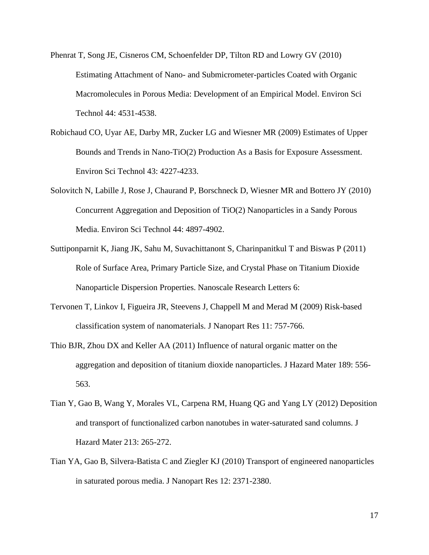- <span id="page-16-7"></span>Phenrat T, Song JE, Cisneros CM, Schoenfelder DP, Tilton RD and Lowry GV (2010) Estimating Attachment of Nano- and Submicrometer-particles Coated with Organic Macromolecules in Porous Media: Development of an Empirical Model. Environ Sci Technol 44: 4531-4538.
- <span id="page-16-1"></span>Robichaud CO, Uyar AE, Darby MR, Zucker LG and Wiesner MR (2009) Estimates of Upper Bounds and Trends in Nano-TiO(2) Production As a Basis for Exposure Assessment. Environ Sci Technol 43: 4227-4233.
- <span id="page-16-2"></span>Solovitch N, Labille J, Rose J, Chaurand P, Borschneck D, Wiesner MR and Bottero JY (2010) Concurrent Aggregation and Deposition of TiO(2) Nanoparticles in a Sandy Porous Media. Environ Sci Technol 44: 4897-4902.
- <span id="page-16-5"></span>Suttiponparnit K, Jiang JK, Sahu M, Suvachittanont S, Charinpanitkul T and Biswas P (2011) Role of Surface Area, Primary Particle Size, and Crystal Phase on Titanium Dioxide Nanoparticle Dispersion Properties. Nanoscale Research Letters 6:
- <span id="page-16-0"></span>Tervonen T, Linkov I, Figueira JR, Steevens J, Chappell M and Merad M (2009) Risk-based classification system of nanomaterials. J Nanopart Res 11: 757-766.
- <span id="page-16-3"></span>Thio BJR, Zhou DX and Keller AA (2011) Influence of natural organic matter on the aggregation and deposition of titanium dioxide nanoparticles. J Hazard Mater 189: 556- 563.
- <span id="page-16-6"></span>Tian Y, Gao B, Wang Y, Morales VL, Carpena RM, Huang QG and Yang LY (2012) Deposition and transport of functionalized carbon nanotubes in water-saturated sand columns. J Hazard Mater 213: 265-272.
- <span id="page-16-4"></span>Tian YA, Gao B, Silvera-Batista C and Ziegler KJ (2010) Transport of engineered nanoparticles in saturated porous media. J Nanopart Res 12: 2371-2380.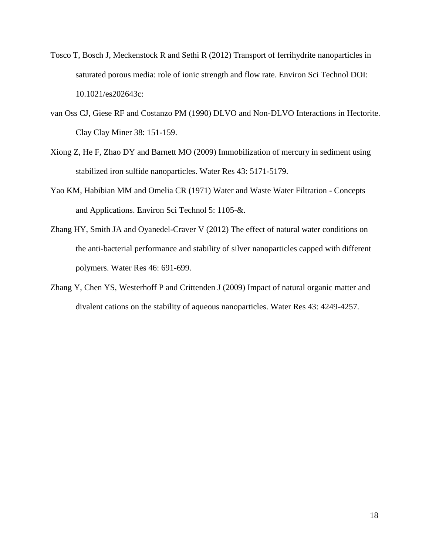- <span id="page-17-4"></span>Tosco T, Bosch J, Meckenstock R and Sethi R (2012) Transport of ferrihydrite nanoparticles in saturated porous media: role of ionic strength and flow rate. Environ Sci Technol DOI: 10.1021/es202643c:
- <span id="page-17-2"></span>van Oss CJ, Giese RF and Costanzo PM (1990) DLVO and Non-DLVO Interactions in Hectorite. Clay Clay Miner 38: 151-159.
- <span id="page-17-0"></span>Xiong Z, He F, Zhao DY and Barnett MO (2009) Immobilization of mercury in sediment using stabilized iron sulfide nanoparticles. Water Res 43: 5171-5179.
- <span id="page-17-5"></span>Yao KM, Habibian MM and Omelia CR (1971) Water and Waste Water Filtration - Concepts and Applications. Environ Sci Technol 5: 1105-&.
- <span id="page-17-3"></span>Zhang HY, Smith JA and Oyanedel-Craver V (2012) The effect of natural water conditions on the anti-bacterial performance and stability of silver nanoparticles capped with different polymers. Water Res 46: 691-699.
- <span id="page-17-1"></span>Zhang Y, Chen YS, Westerhoff P and Crittenden J (2009) Impact of natural organic matter and divalent cations on the stability of aqueous nanoparticles. Water Res 43: 4249-4257.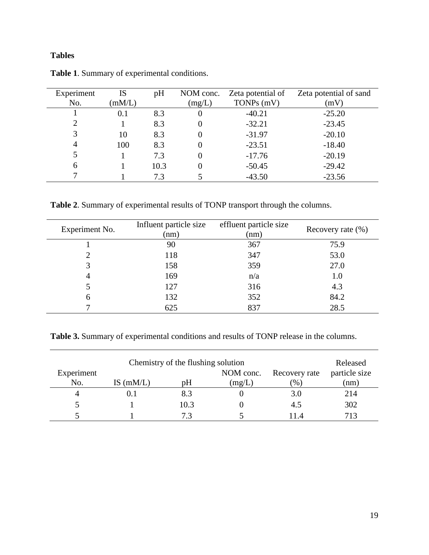# **Tables**

| Experiment | IS     | pH   | NOM conc. | Zeta potential of | Zeta potential of sand |
|------------|--------|------|-----------|-------------------|------------------------|
| No.        | (mM/L) |      | (mg/L)    | TONPs (mV)        | (mV)                   |
|            | 0.1    | 8.3  | 0         | $-40.21$          | $-25.20$               |
| 2          |        | 8.3  | 0         | $-32.21$          | $-23.45$               |
| 3          | 10     | 8.3  |           | $-31.97$          | $-20.10$               |
| 4          | 100    | 8.3  | 0         | $-23.51$          | $-18.40$               |
| 5          |        | 7.3  |           | $-17.76$          | $-20.19$               |
| 6          |        | 10.3 |           | $-50.45$          | $-29.42$               |
|            |        | 7.3  |           | $-43.50$          | $-23.56$               |

**Table 1**. Summary of experimental conditions.

**Table 2**. Summary of experimental results of TONP transport through the columns.

| Experiment No. | Influent particle size<br>(nm) | effluent particle size<br>(nm) | Recovery rate $(\%)$ |
|----------------|--------------------------------|--------------------------------|----------------------|
|                | 90                             | 367                            | 75.9                 |
|                | 118                            | 347                            | 53.0                 |
|                | 158                            | 359                            | 27.0                 |
| 4              | 169                            | n/a                            | 1.0                  |
|                | 127                            | 316                            | 4.3                  |
| 6              | 132                            | 352                            | 84.2                 |
|                | 625                            | 837                            | 28.5                 |

**Table 3.** Summary of experimental conditions and results of TONP release in the columns.

|            | Released    |      |           |               |               |
|------------|-------------|------|-----------|---------------|---------------|
| Experiment |             |      | NOM conc. | Recovery rate | particle size |
| No.        | IS $(mM/L)$ | pН   | (mg/L)    | $\gamma_0$ ,  | (nm)          |
| 4          | O. I        | 8.3  |           | 3.0           | 214           |
| 5          |             | 10.3 |           | 4.5           | 302           |
|            |             |      |           | l 14          | 713           |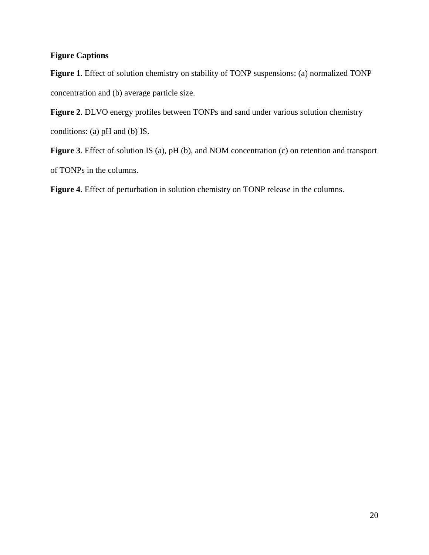# **Figure Captions**

**Figure 1**. Effect of solution chemistry on stability of TONP suspensions: (a) normalized TONP concentration and (b) average particle size.

**Figure 2**. DLVO energy profiles between TONPs and sand under various solution chemistry conditions: (a) pH and (b) IS.

**Figure 3**. Effect of solution IS (a), pH (b), and NOM concentration (c) on retention and transport of TONPs in the columns.

**Figure 4**. Effect of perturbation in solution chemistry on TONP release in the columns.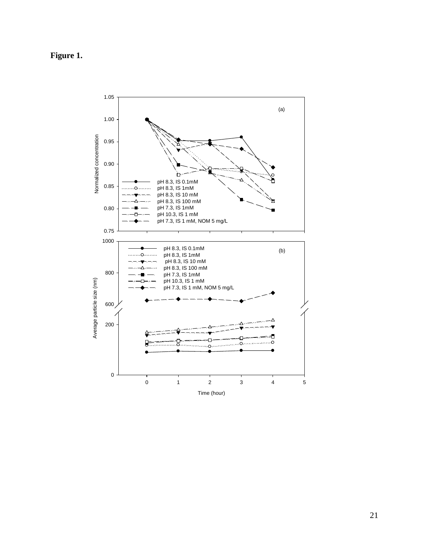**Figure 1.**

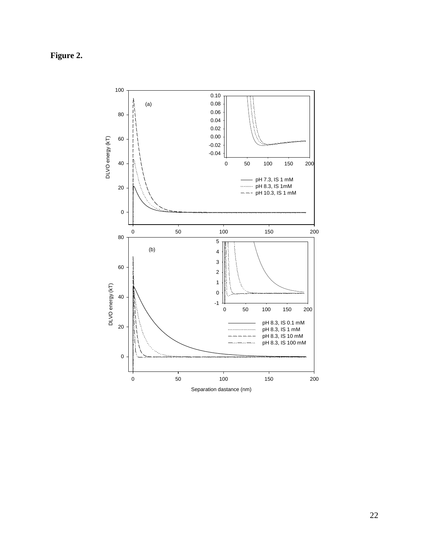**Figure 2.**

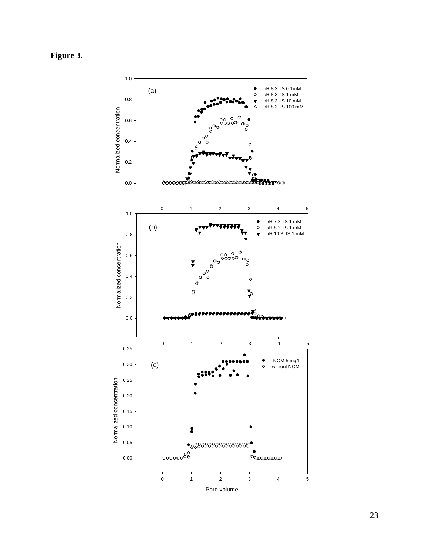**Figure 3.**